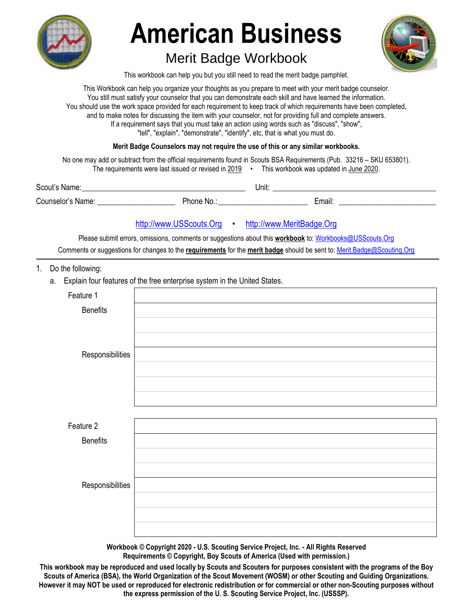

# **American Business**

## Merit Badge Workbook



This workbook can help you but you still need to read the merit badge pamphlet.

This Workbook can help you organize your thoughts as you prepare to meet with your merit badge counselor. You still must satisfy your counselor that you can demonstrate each skill and have learned the information. You should use the work space provided for each requirement to keep track of which requirements have been completed, and to make notes for discussing the item with your counselor, not for providing full and complete answers. If a requirement says that you must take an action using words such as "discuss", "show", "tell", "explain", "demonstrate", "identify", etc, that is what you must do.

#### **Merit Badge Counselors may not require the use of this or any similar workbooks.**

No one may add or subtract from the official requirements found in Scouts BSA Requirements (Pub. 33216 – SKU 653801). The requirements were last issued or revised in 2019 • This workbook was updated in June 2020.

| Scout's Name:     |          | Unit: |        |  |
|-------------------|----------|-------|--------|--|
| Counselor's Name: | Phone No |       | Email. |  |

#### http://www.USScouts.Org • http://www.MeritBadge.Org

Please submit errors, omissions, comments or suggestions about this **workbook** to: Workbooks@USScouts.Org

Comments or suggestions for changes to the **requirements** for the **merit badge** should be sent to: Merit.Badge@Scouting.Org

- 1. Do the following:
	- a. Explain four features of the free enterprise system in the United States.

| Feature 1        |  |
|------------------|--|
| <b>Benefits</b>  |  |
|                  |  |
|                  |  |
| Responsibilities |  |
|                  |  |
|                  |  |
|                  |  |
|                  |  |
| Feature 2        |  |
| <b>Benefits</b>  |  |
|                  |  |
|                  |  |
| Responsibilities |  |
|                  |  |
|                  |  |
|                  |  |

**Workbook © Copyright 2020 - U.S. Scouting Service Project, Inc. - All Rights Reserved Requirements © Copyright, Boy Scouts of America (Used with permission.)** 

**This workbook may be reproduced and used locally by Scouts and Scouters for purposes consistent with the programs of the Boy Scouts of America (BSA), the World Organization of the Scout Movement (WOSM) or other Scouting and Guiding Organizations. However it may NOT be used or reproduced for electronic redistribution or for commercial or other non-Scouting purposes without the express permission of the U. S. Scouting Service Project, Inc. (USSSP).**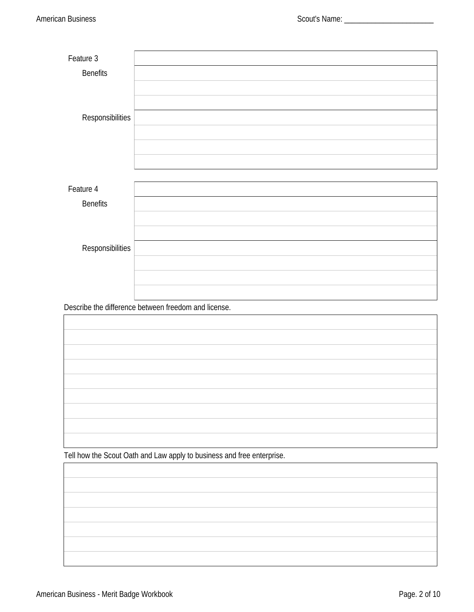| Feature 3               |                                                                        |
|-------------------------|------------------------------------------------------------------------|
| <b>Benefits</b>         |                                                                        |
|                         |                                                                        |
|                         |                                                                        |
|                         |                                                                        |
| <b>Responsibilities</b> |                                                                        |
|                         |                                                                        |
|                         |                                                                        |
|                         |                                                                        |
|                         |                                                                        |
| Feature 4               |                                                                        |
| <b>Benefits</b>         |                                                                        |
|                         |                                                                        |
|                         |                                                                        |
|                         |                                                                        |
| <b>Responsibilities</b> |                                                                        |
|                         |                                                                        |
|                         |                                                                        |
|                         |                                                                        |
|                         | Describe the difference between freedom and license.                   |
|                         |                                                                        |
|                         |                                                                        |
|                         |                                                                        |
|                         |                                                                        |
|                         |                                                                        |
|                         |                                                                        |
|                         |                                                                        |
|                         |                                                                        |
|                         |                                                                        |
|                         |                                                                        |
|                         |                                                                        |
|                         | Tell how the Scout Oath and Law apply to business and free enterprise. |
|                         |                                                                        |
|                         |                                                                        |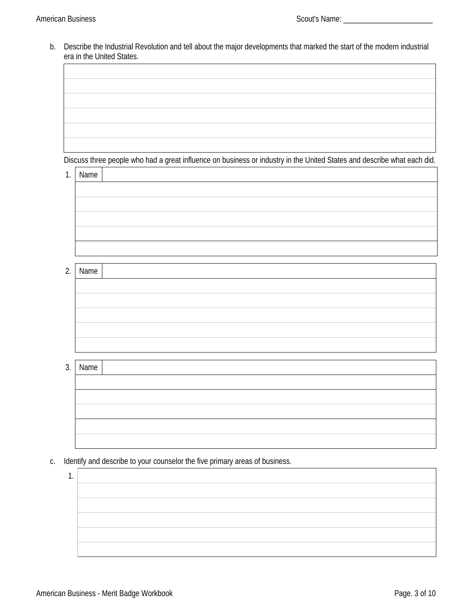b. Describe the Industrial Revolution and tell about the major developments that marked the start of the modern industrial era in the United States.

Discuss three people who had a great influence on business or industry in the United States and describe what each did.

1. Name

2.  $\mathsf{N}$  1

| lame |  |
|------|--|
|      |  |
|      |  |
|      |  |
|      |  |
|      |  |
|      |  |

3. Name

| Name |  |  |
|------|--|--|
|      |  |  |
|      |  |  |
|      |  |  |
|      |  |  |
|      |  |  |
|      |  |  |

- c. Identify and describe to your counselor the five primary areas of business.
	- 1.

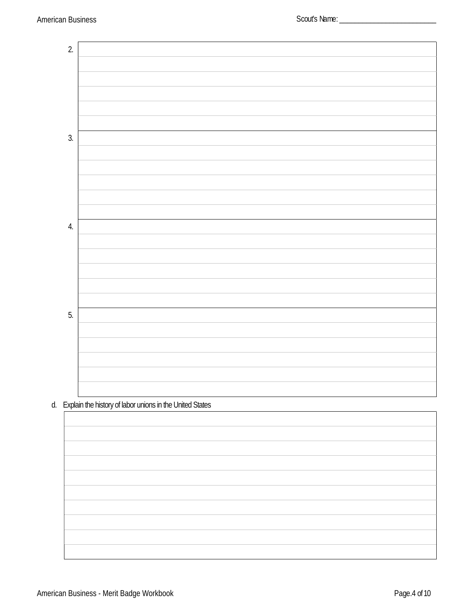

d. Explain the history of labor unions in the United States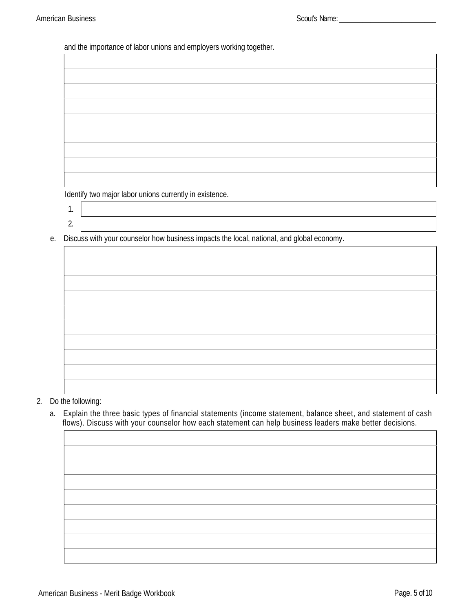and the importance of labor unions and employers working together.

Identify two major labor unions currently in existence.

- 1.
- 2.

e. Discuss with your counselor how business impacts the local, national, and global economy.

#### 2. Do the following:

a. Explain the three basic types of financial statements (income statement, balance sheet, and statement of cash flows). Discuss with your counselor how each statement can help business leaders make better decisions.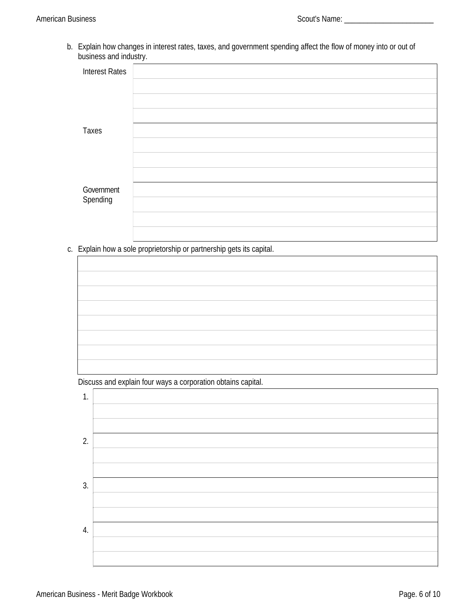b. Explain how changes in interest rates, taxes, and government spending affect the flow of money into or out of business and industry.

| <b>Interest Rates</b> |  |
|-----------------------|--|
|                       |  |
|                       |  |
|                       |  |
| <b>Taxes</b>          |  |
|                       |  |
|                       |  |
|                       |  |
| Government            |  |
| Spending              |  |
|                       |  |
|                       |  |

c. Explain how a sole proprietorship or partnership gets its capital.

Discuss and explain four ways a corporation obtains capital.

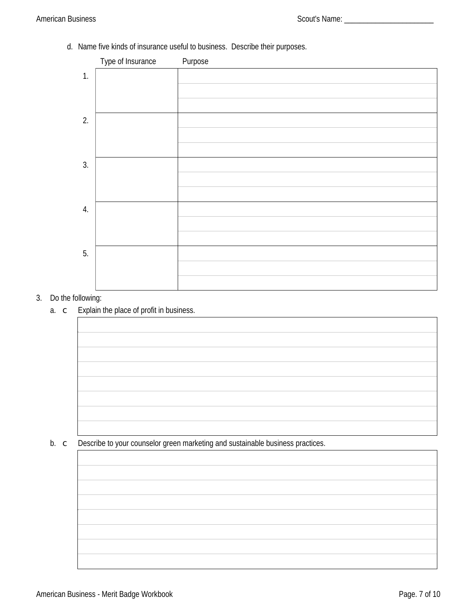d. Name five kinds of insurance useful to business. Describe their purposes.



#### 3. Do the following:

a. c Explain the place of profit in business.

b.  $\subset$  Describe to your counselor green marketing and sustainable business practices.

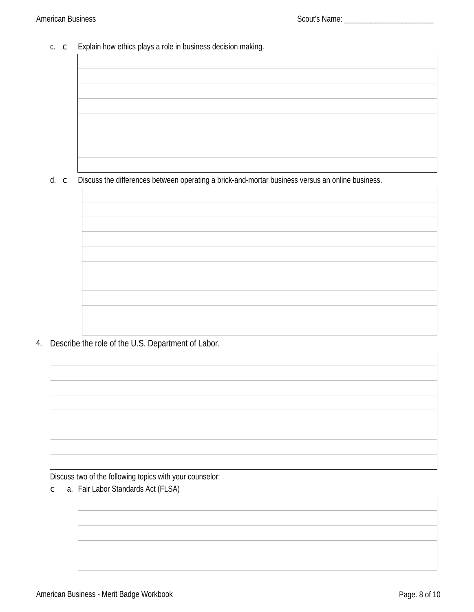#### American Business and the state of the state of the Scout's Name: \_\_\_\_\_\_\_\_\_\_\_\_\_\_

 $\Gamma$ 

### c. c Explain how ethics plays a role in business decision making.

d. c Discuss the differences between operating a brick-and-mortar business versus an online business.

| the control of the control of the control of the control of the control of |  |
|----------------------------------------------------------------------------|--|
|                                                                            |  |
|                                                                            |  |
|                                                                            |  |
| <u> 1989 - Johann Barbara, martxa alemaniar a</u>                          |  |

4. Describe the role of the U.S. Department of Labor.

Discuss two of the following topics with your counselor:

c a. Fair Labor Standards Act (FLSA)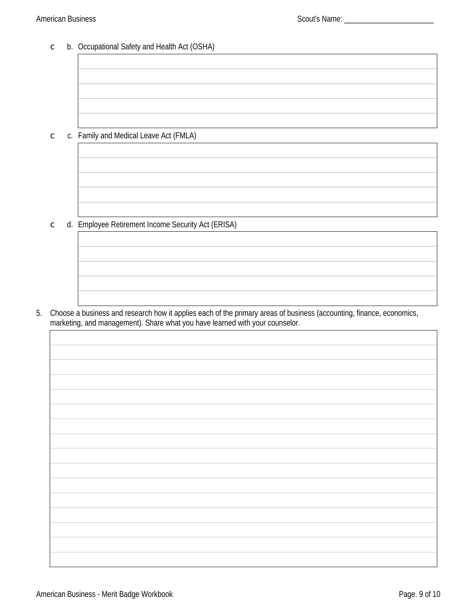#### American Business Scout's Name: \_\_\_\_\_\_\_\_\_\_\_\_\_\_\_\_\_\_\_\_\_\_\_

c b. Occupational Safety and Health Act (OSHA)

c c. Family and Medical Leave Act (FMLA)

c d. Employee Retirement Income Security Act (ERISA)

5. Choose a business and research how it applies each of the primary areas of business (accounting, finance, economics, marketing, and management). Share what you have learned with your counselor.